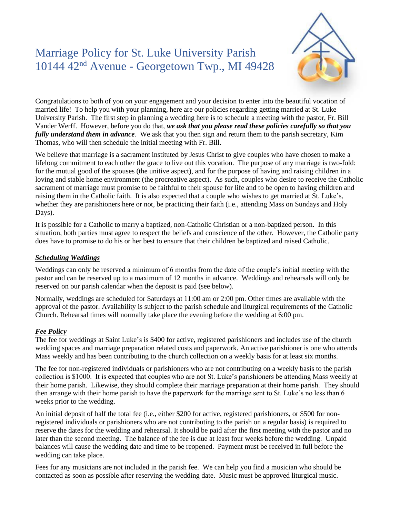# Marriage Policy for St. Luke University Parish 10144 42nd Avenue - Georgetown Twp., MI 49428



Congratulations to both of you on your engagement and your decision to enter into the beautiful vocation of married life! To help you with your planning, here are our policies regarding getting married at St. Luke University Parish. The first step in planning a wedding here is to schedule a meeting with the pastor, Fr. Bill Vander Werff. However, before you do that, *we ask that you please read these policies carefully so that you fully understand them in advance*. We ask that you then sign and return them to the parish secretary, Kim Thomas, who will then schedule the initial meeting with Fr. Bill.

We believe that marriage is a sacrament instituted by Jesus Christ to give couples who have chosen to make a lifelong commitment to each other the grace to live out this vocation. The purpose of any marriage is two-fold: for the mutual good of the spouses (the unitive aspect), and for the purpose of having and raising children in a loving and stable home environment (the procreative aspect). As such, couples who desire to receive the Catholic sacrament of marriage must promise to be faithful to their spouse for life and to be open to having children and raising them in the Catholic faith. It is also expected that a couple who wishes to get married at St. Luke's, whether they are parishioners here or not, be practicing their faith (i.e., attending Mass on Sundays and Holy Days).

It is possible for a Catholic to marry a baptized, non-Catholic Christian or a non-baptized person. In this situation, both parties must agree to respect the beliefs and conscience of the other. However, the Catholic party does have to promise to do his or her best to ensure that their children be baptized and raised Catholic.

# *Scheduling Weddings*

Weddings can only be reserved a minimum of 6 months from the date of the couple's initial meeting with the pastor and can be reserved up to a maximum of 12 months in advance. Weddings and rehearsals will only be reserved on our parish calendar when the deposit is paid (see below).

Normally, weddings are scheduled for Saturdays at 11:00 am or 2:00 pm. Other times are available with the approval of the pastor. Availability is subject to the parish schedule and liturgical requirements of the Catholic Church. Rehearsal times will normally take place the evening before the wedding at 6:00 pm.

## *Fee Policy*

The fee for weddings at Saint Luke's is \$400 for active, registered parishioners and includes use of the church wedding spaces and marriage preparation related costs and paperwork. An active parishioner is one who attends Mass weekly and has been contributing to the church collection on a weekly basis for at least six months.

The fee for non-registered individuals or parishioners who are not contributing on a weekly basis to the parish collection is \$1000. It is expected that couples who are not St. Luke's parishioners be attending Mass weekly at their home parish. Likewise, they should complete their marriage preparation at their home parish. They should then arrange with their home parish to have the paperwork for the marriage sent to St. Luke's no less than 6 weeks prior to the wedding.

An initial deposit of half the total fee (i.e., either \$200 for active, registered parishioners, or \$500 for nonregistered individuals or parishioners who are not contributing to the parish on a regular basis) is required to reserve the dates for the wedding and rehearsal. It should be paid after the first meeting with the pastor and no later than the second meeting. The balance of the fee is due at least four weeks before the wedding. Unpaid balances will cause the wedding date and time to be reopened. Payment must be received in full before the wedding can take place.

Fees for any musicians are not included in the parish fee. We can help you find a musician who should be contacted as soon as possible after reserving the wedding date. Music must be approved liturgical music.